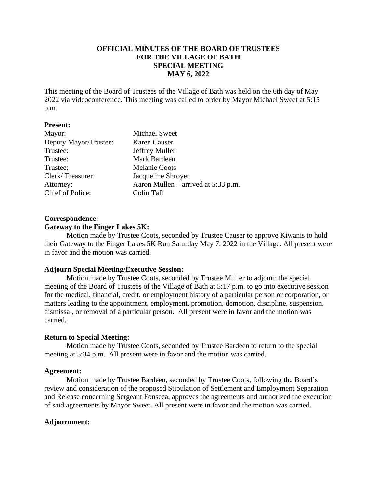## **OFFICIAL MINUTES OF THE BOARD OF TRUSTEES FOR THE VILLAGE OF BATH SPECIAL MEETING MAY 6, 2022**

This meeting of the Board of Trustees of the Village of Bath was held on the 6th day of May 2022 via videoconference. This meeting was called to order by Mayor Michael Sweet at 5:15 p.m.

#### **Present:**

| <b>Michael Sweet</b>                |
|-------------------------------------|
| Karen Causer                        |
| Jeffrey Muller                      |
| Mark Bardeen                        |
| <b>Melanie Coots</b>                |
| Jacqueline Shroyer                  |
| Aaron Mullen – arrived at 5:33 p.m. |
| Colin Taft                          |
|                                     |

# **Correspondence:**

## **Gateway to the Finger Lakes 5K:**

Motion made by Trustee Coots, seconded by Trustee Causer to approve Kiwanis to hold their Gateway to the Finger Lakes 5K Run Saturday May 7, 2022 in the Village. All present were in favor and the motion was carried.

## **Adjourn Special Meeting/Executive Session:**

Motion made by Trustee Coots, seconded by Trustee Muller to adjourn the special meeting of the Board of Trustees of the Village of Bath at 5:17 p.m. to go into executive session for the medical, financial, credit, or employment history of a particular person or corporation, or matters leading to the appointment, employment, promotion, demotion, discipline, suspension, dismissal, or removal of a particular person. All present were in favor and the motion was carried.

#### **Return to Special Meeting:**

Motion made by Trustee Coots, seconded by Trustee Bardeen to return to the special meeting at 5:34 p.m. All present were in favor and the motion was carried.

#### **Agreement:**

Motion made by Trustee Bardeen, seconded by Trustee Coots, following the Board's review and consideration of the proposed Stipulation of Settlement and Employment Separation and Release concerning Sergeant Fonseca, approves the agreements and authorized the execution of said agreements by Mayor Sweet. All present were in favor and the motion was carried.

## **Adjournment:**